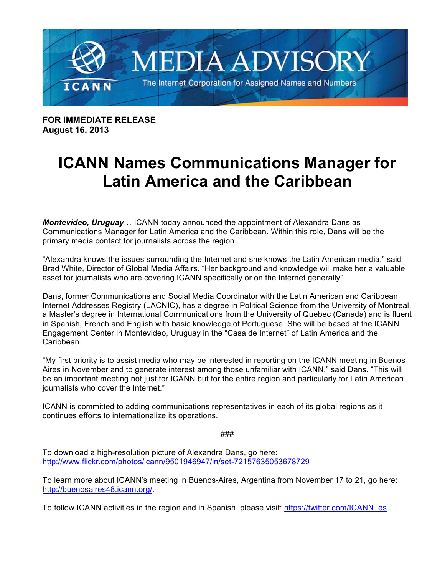

**FOR IMMEDIATE RELEASE August 16, 2013**

## **ICANN Names Communications Manager for Latin America and the Caribbean**

*Montevideo, Uruguay*… ICANN today announced the appointment of Alexandra Dans as Communications Manager for Latin America and the Caribbean. Within this role, Dans will be the primary media contact for journalists across the region.

"Alexandra knows the issues surrounding the Internet and she knows the Latin American media," said Brad White, Director of Global Media Affairs. "Her background and knowledge will make her a valuable asset for journalists who are covering ICANN specifically or on the Internet generally"

Dans, former Communications and Social Media Coordinator with the Latin American and Caribbean Internet Addresses Registry (LACNIC), has a degree in Political Science from the University of Montreal, a Master's degree in International Communications from the University of Quebec (Canada) and is fluent in Spanish, French and English with basic knowledge of Portuguese. She will be based at the ICANN Engagement Center in Montevideo, Uruguay in the "Casa de Internet" of Latin America and the Caribbean.

"My first priority is to assist media who may be interested in reporting on the ICANN meeting in Buenos Aires in November and to generate interest among those unfamiliar with ICANN," said Dans. "This will be an important meeting not just for ICANN but for the entire region and particularly for Latin American journalists who cover the Internet."

ICANN is committed to adding communications representatives in each of its global regions as it continues efforts to internationalize its operations.

###

To download a high-resolution picture of Alexandra Dans, go here: http://www.flickr.com/photos/icann/9501946947/in/set-72157635053678729

To learn more about ICANN's meeting in Buenos-Aires, Argentina from November 17 to 21, go here: http://buenosaires48.icann.org/.

To follow ICANN activities in the region and in Spanish, please visit: https://twitter.com/ICANN\_es